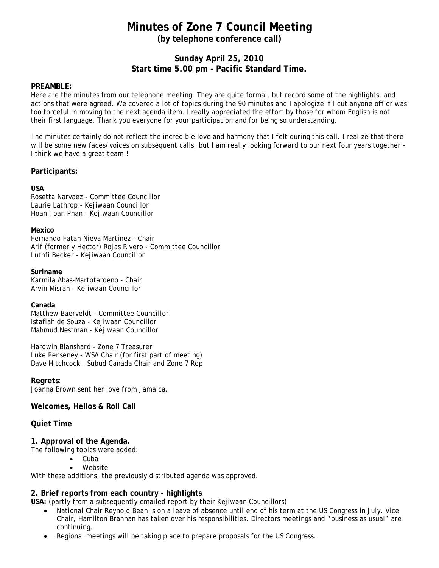# **Minutes of Zone 7 Council Meeting (by telephone conference call)**

# **Sunday April 25, 2010 Start time 5.00 pm - Pacific Standard Time.**

## **PREAMBLE:**

Here are the minutes from our telephone meeting. They are quite formal, but record some of the highlights, and actions that were agreed. We covered a lot of topics during the 90 minutes and I apologize if I cut anyone off or was too forceful in moving to the next agenda item. I really appreciated the effort by those for whom English is not their first language. Thank you everyone for your participation and for being so understanding.

The minutes certainly do not reflect the incredible love and harmony that I felt during this call. I realize that there will be some new faces/voices on subsequent calls, but I am really looking forward to our next four years together - I think we have a great team!!

#### **Participants:**

#### **USA**

Rosetta Narvaez - Committee Councillor Laurie Lathrop - Kejiwaan Councillor Hoan Toan Phan - Kejiwaan Councillor

#### **Mexico**

Fernando Fatah Nieva Martinez - Chair Arif (formerly Hector) Rojas Rivero - Committee Councillor Luthfi Becker - Kejiwaan Councillor

#### **Suriname**

Karmila Abas-Martotaroeno - Chair Arvin Misran - Kejiwaan Councillor

#### **Canada**

Matthew Baerveldt - Committee Councillor Istafiah de Souza - Kejiwaan Councillor Mahmud Nestman - Kejiwaan Councillor

Hardwin Blanshard - Zone 7 Treasurer Luke Penseney - WSA Chair (for first part of meeting) Dave Hitchcock - Subud Canada Chair and Zone 7 Rep

## **Regrets**:

Joanna Brown sent her love from Jamaica.

# **Welcomes, Hellos & Roll Call**

## **Quiet Time**

## **1. Approval of the Agenda.**

The following topics were added:

- Cuba
- Website

With these additions, the previously distributed agenda was approved.

## **2. Brief reports from each country - highlights**

**USA:** (partly from a subsequently emailed report by their Kejiwaan Councillors)

- National Chair Reynold Bean is on a leave of absence until end of his term at the US Congress in July. Vice Chair, Hamilton Brannan has taken over his responsibilities. Directors meetings and "business as usual" are continuing.
- Regional meetings will be taking place to prepare proposals for the US Congress.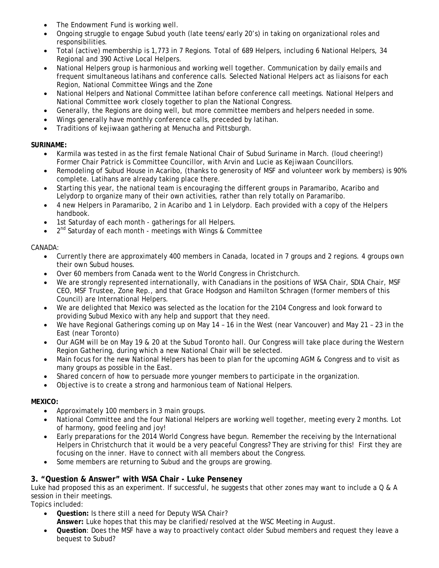- The Endowment Fund is working well.
- Ongoing struggle to engage Subud youth (late teens/early 20's) in taking on organizational roles and responsibilities.
- Total (active) membership is 1,773 in 7 Regions. Total of 689 Helpers, including 6 National Helpers, 34 Regional and 390 Active Local Helpers.
- National Helpers group is harmonious and working well together. Communication by daily emails and frequent simultaneous latihans and conference calls. Selected National Helpers act as liaisons for each Region, National Committee Wings and the Zone
- National Helpers and National Committee latihan before conference call meetings. National Helpers and National Committee work closely together to plan the National Congress.
- Generally, the Regions are doing well, but more committee members and helpers needed in some.
- Wings generally have monthly conference calls, preceded by latihan.
- Traditions of kejiwaan gathering at Menucha and Pittsburgh.

# **SURINAME:**

- Karmila was tested in as the first female National Chair of Subud Suriname in March. (loud cheering!) Former Chair Patrick is Committee Councillor, with Arvin and Lucie as Kejiwaan Councillors.
- Remodeling of Subud House in Acaribo, (thanks to generosity of MSF and volunteer work by members) is 90% complete. Latihans are already taking place there.
- Starting this year, the national team is encouraging the different groups in Paramaribo, Acaribo and Lelydorp to organize many of their own activities, rather than rely totally on Paramaribo.
- 4 new Helpers in Paramaribo, 2 in Acaribo and 1 in Lelydorp. Each provided with a copy of the Helpers handbook.
- 1st Saturday of each month gatherings for all Helpers.
- 2<sup>nd</sup> Saturday of each month meetings with Wings & Committee

# CANADA:

- Currently there are approximately 400 members in Canada, located in 7 groups and 2 regions. 4 groups own their own Subud houses.
- Over 60 members from Canada went to the World Congress in Christchurch.
- We are strongly represented internationally, with Canadians in the positions of WSA Chair, SDIA Chair, MSF CEO, MSF Trustee, Zone Rep., and that Grace Hodgson and Hamilton Schragen (former members of this Council) are International Helpers.
- We are delighted that Mexico was selected as the location for the 2104 Congress and look forward to providing Subud Mexico with any help and support that they need.
- We have Regional Gatherings coming up on May 14 16 in the West (near Vancouver) and May 21 23 in the East (near Toronto)
- Our AGM will be on May 19 & 20 at the Subud Toronto hall. Our Congress will take place during the Western Region Gathering, during which a new National Chair will be selected.
- Main focus for the new National Helpers has been to plan for the upcoming AGM & Congress and to visit as many groups as possible in the East.
- Shared concern of how to persuade more younger members to participate in the organization.
- Objective is to create a strong and harmonious team of National Helpers.

# **MEXICO:**

- Approximately 100 members in 3 main groups.
- National Committee and the four National Helpers are working well together, meeting every 2 months. Lot of harmony, good feeling and joy!
- Early preparations for the 2014 World Congress have begun. Remember the receiving by the International Helpers in Christchurch that it would be a very peaceful Congress? They are striving for this! First they are focusing on the inner. Have to connect with all members about the Congress.
- Some members are returning to Subud and the groups are growing.

# **3. "Question & Answer" with WSA Chair - Luke Penseney**

Luke had proposed this as an experiment. If successful, he suggests that other zones may want to include a Q & A session in their meetings.

Topics included:

- **Question:** Is there still a need for Deputy WSA Chair?
	- **Answer:** Luke hopes that this may be clarified/resolved at the WSC Meeting in August.
- **Question**: Does the MSF have a way to proactively contact older Subud members and request they leave a bequest to Subud?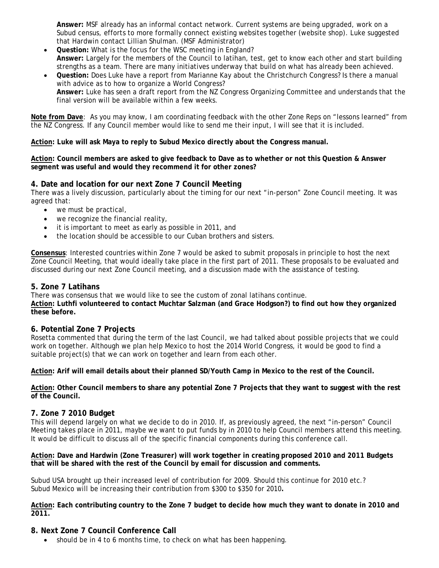**Answer:** MSF already has an informal contact network. Current systems are being upgraded, work on a Subud census, efforts to more formally connect existing websites together (website shop). Luke suggested that Hardwin contact Lillian Shulman. (MSF Administrator)

- **Question:** What is the focus for the WSC meeting in England? **Answer:** Largely for the members of the Council to latihan, test, get to know each other and start building strengths as a team. There are many initiatives underway that build on what has already been achieved.
- **Question:** Does Luke have a report from Marianne Kay about the Christchurch Congress? Is there a manual with advice as to how to organize a World Congress? **Answer:** Luke has seen a draft report from the NZ Congress Organizing Committee and understands that the final version will be available within a few weeks.

**Note from Dave**: As you may know, I am coordinating feedback with the other Zone Reps on "lessons learned" from the NZ Congress. If any Council member would like to send me their input, I will see that it is included.

**Action: Luke will ask Maya to reply to Subud Mexico directly about the Congress manual.**

**Action: Council members are asked to give feedback to Dave as to whether or not this Question & Answer segment was useful and would they recommend it for other zones?**

# **4. Date and location for our next Zone 7 Council Meeting**

There was a lively discussion, particularly about the timing for our next "in-person" Zone Council meeting. It was agreed that:

- we must be practical,
- we recognize the financial reality,
- it is important to meet as early as possible in 2011, and
- the location should be accessible to our Cuban brothers and sisters.

**Consensus**: Interested countries within Zone 7 would be asked to submit proposals in principle to host the next Zone Council Meeting, that would ideally take place in the first part of 2011. These proposals to be evaluated and discussed during our next Zone Council meeting, and a discussion made with the assistance of testing.

# **5. Zone 7 Latihans**

There was consensus that we would like to see the custom of zonal latihans continue. **Action: Luthfi volunteered to contact Muchtar Salzman (and Grace Hodgson?) to find out how they organized these before.**

# **6. Potential Zone 7 Projects**

Rosetta commented that during the term of the last Council, we had talked about possible projects that we could work on together. Although we plan help Mexico to host the 2014 World Congress, it would be good to find a suitable project(s) that we can work on together and learn from each other.

**Action: Arif will email details about their planned SD/Youth Camp in Mexico to the rest of the Council.**

**Action: Other Council members to share any potential Zone 7 Projects that they want to suggest with the rest of the Council.**

## **7. Zone 7 2010 Budget**

This will depend largely on what we decide to do in 2010. If, as previously agreed, the next "in-person" Council Meeting takes place in 2011, maybe we want to put funds by in 2010 to help Council members attend this meeting. It would be difficult to discuss all of the specific financial components during this conference call.

**Action: Dave and Hardwin (Zone Treasurer) will work together in creating proposed 2010 and 2011 Budgets that will be shared with the rest of the Council by email for discussion and comments.**

Subud USA brought up their increased level of contribution for 2009. Should this continue for 2010 etc.? Subud Mexico will be increasing their contribution from \$300 to \$350 for 2010**.**

**Action: Each contributing country to the Zone 7 budget to decide how much they want to donate in 2010 and 2011.** 

## **8. Next Zone 7 Council Conference Call**

• should be in 4 to 6 months time, to check on what has been happening.